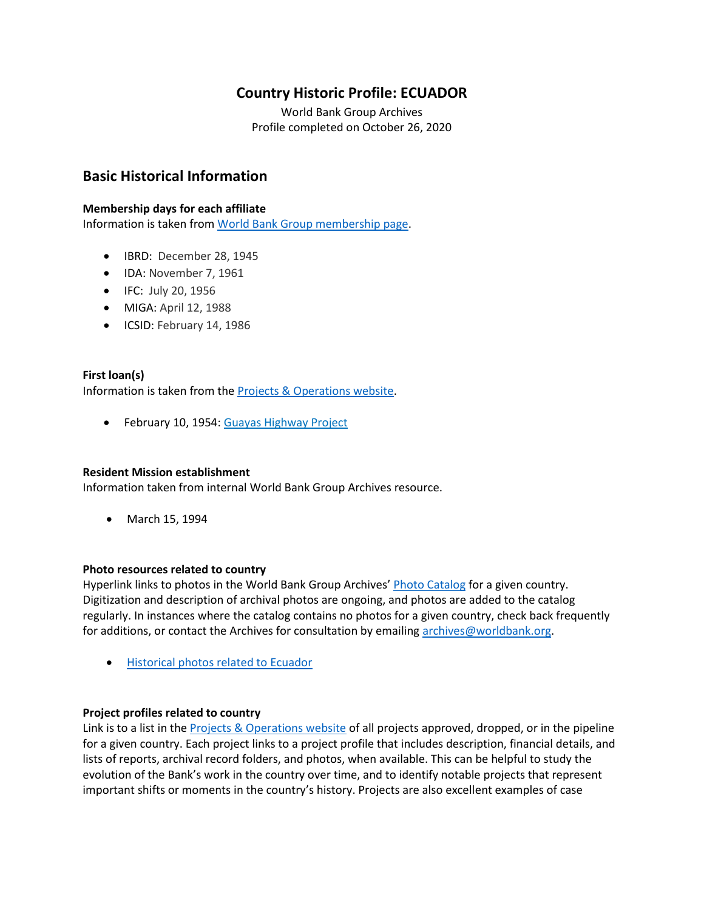# **Country Historic Profile: ECUADOR**

World Bank Group Archives Profile completed on October 26, 2020

# **Basic Historical Information**

## **Membership days for each affiliate**

Information is taken from [World Bank Group membership page.](https://www.worldbank.org/en/about/leadership/members#1)

- IBRD: December 28, 1945
- IDA: November 7, 1961
- IFC: July 20, 1956
- MIGA: April 12, 1988
- ICSID: February 14, 1986

## **First loan(s)**

Information is taken from the [Projects & Operations website.](https://projects.worldbank.org/)

• February 10, 1954[: Guayas Highway Project](https://projects.worldbank.org/en/projects-operations/project-detail/P007031)

## **Resident Mission establishment**

Information taken from internal World Bank Group Archives resource.

• March 15, 1994

## **Photo resources related to country**

Hyperlink links to photos in the World Bank Group Archives' [Photo Catalog](https://archivesphotos.worldbank.org/en/about/archives/photo-gallery) for a given country. Digitization and description of archival photos are ongoing, and photos are added to the catalog regularly. In instances where the catalog contains no photos for a given country, check back frequently for additions, or contact the Archives for consultation by emailing [archives@worldbank.org.](mailto:archives@worldbank.org)

• [Historical photos related to Ecuador](https://archivesphotos.worldbank.org/en/about/archives/photo-gallery/photo-gallery-landing?qterm=ecuador&wbg_country=Ecuador)

## **Project profiles related to country**

Link is to a list in the [Projects & Operations website](https://projects.worldbank.org/) of all projects approved, dropped, or in the pipeline for a given country. Each project links to a project profile that includes description, financial details, and lists of reports, archival record folders, and photos, when available. This can be helpful to study the evolution of the Bank's work in the country over time, and to identify notable projects that represent important shifts or moments in the country's history. Projects are also excellent examples of case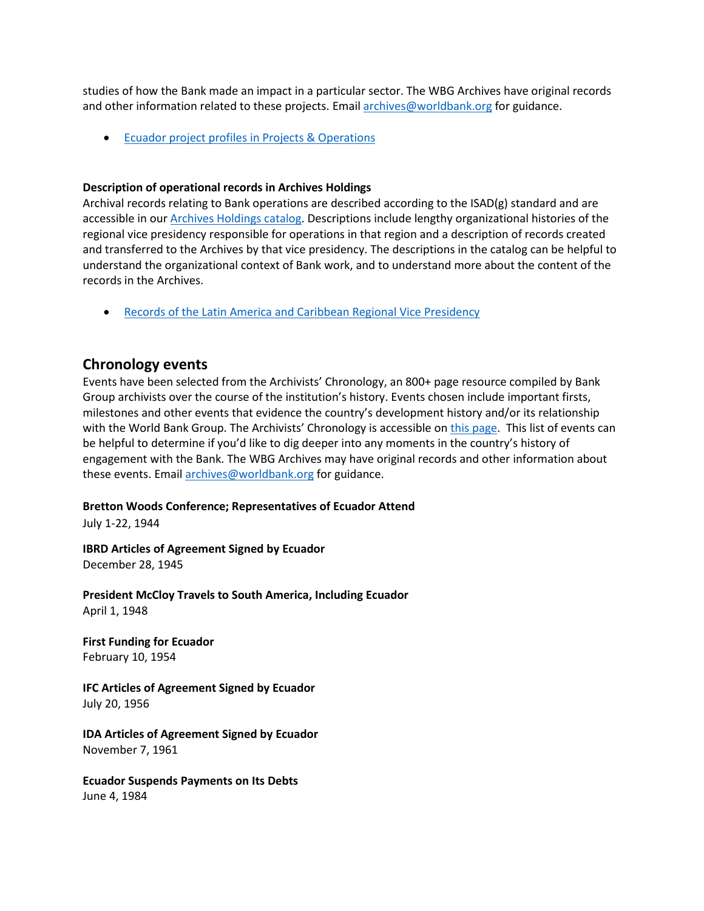studies of how the Bank made an impact in a particular sector. The WBG Archives have original records and other information related to these projects. Email [archives@worldbank.org](mailto:archives@worldbank.org) for guidance.

• Ecuador [project profiles in Projects & Operations](https://projects.worldbank.org/en/projects-operations/projects-list?countrycode_exact=EC)

#### **Description of operational records in Archives Holdings**

Archival records relating to Bank operations are described according to the ISAD(g) standard and are accessible in our [Archives Holdings catalog.](https://archivesholdings.worldbank.org/) Descriptions include lengthy organizational histories of the regional vice presidency responsible for operations in that region and a description of records created and transferred to the Archives by that vice presidency. The descriptions in the catalog can be helpful to understand the organizational context of Bank work, and to understand more about the content of the records in the Archives.

• [Records of the Latin America and Caribbean Regional](https://archivesholdings.worldbank.org/records-of-latin-america-and-caribbean-regional-vice-presidency) Vice Presidency

## **Chronology events**

Events have been selected from the Archivists' Chronology, an 800+ page resource compiled by Bank Group archivists over the course of the institution's history. Events chosen include important firsts, milestones and other events that evidence the country's development history and/or its relationship with the World Bank Group. The Archivists' Chronology is accessible on [this page.](https://www.worldbank.org/en/about/archives/history/timeline) This list of events can be helpful to determine if you'd like to dig deeper into any moments in the country's history of engagement with the Bank. The WBG Archives may have original records and other information about these events. Email [archives@worldbank.org](mailto:archives@worldbank.org) for guidance.

#### **Bretton Woods Conference; Representatives of Ecuador Attend**

July 1-22, 1944

**IBRD Articles of Agreement Signed by Ecuador** December 28, 1945

**President McCloy Travels to South America, Including Ecuador** April 1, 1948

**First Funding for Ecuador** February 10, 1954

**IFC Articles of Agreement Signed by Ecuador** July 20, 1956

**IDA Articles of Agreement Signed by Ecuador** November 7, 1961

**Ecuador Suspends Payments on Its Debts** June 4, 1984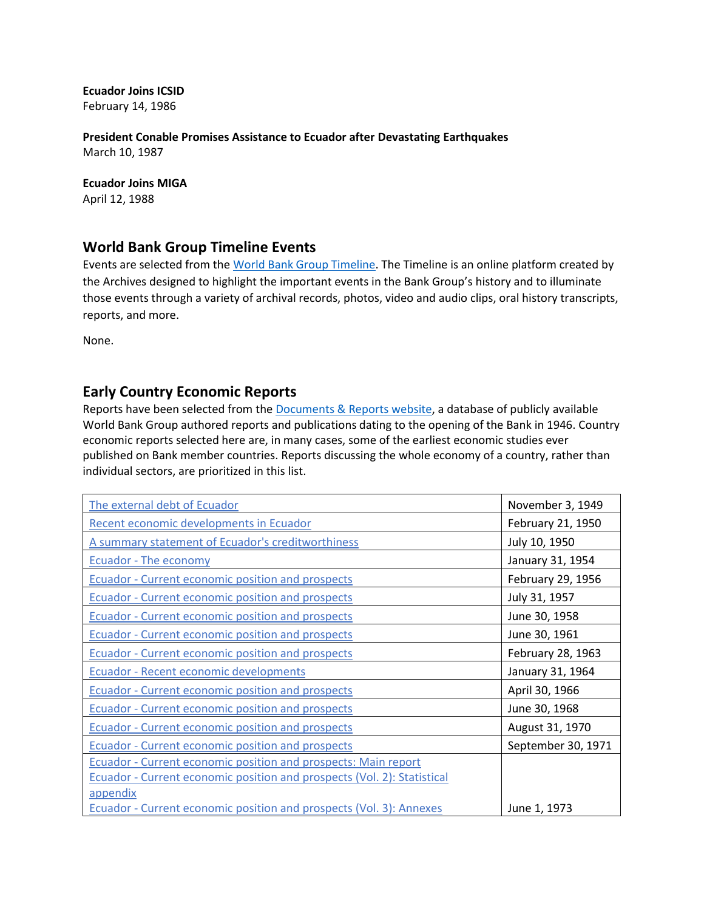**Ecuador Joins ICSID** February 14, 1986

**President Conable Promises Assistance to Ecuador after Devastating Earthquakes** March 10, 1987

**Ecuador Joins MIGA** April 12, 1988

## **World Bank Group Timeline Events**

Events are selected from the [World Bank Group Timeline.](https://timeline.worldbank.org/#event-bretton-woods-conference-begins) The Timeline is an online platform created by the Archives designed to highlight the important events in the Bank Group's history and to illuminate those events through a variety of archival records, photos, video and audio clips, oral history transcripts, reports, and more.

None.

## **Early Country Economic Reports**

Reports have been selected from the [Documents & Reports website,](https://documents.worldbank.org/) a database of publicly available World Bank Group authored reports and publications dating to the opening of the Bank in 1946. Country economic reports selected here are, in many cases, some of the earliest economic studies ever published on Bank member countries. Reports discussing the whole economy of a country, rather than individual sectors, are prioritized in this list.

| The external debt of Ecuador                                                   | November 3, 1949   |
|--------------------------------------------------------------------------------|--------------------|
| Recent economic developments in Ecuador                                        | February 21, 1950  |
| A summary statement of Ecuador's creditworthiness                              | July 10, 1950      |
| Ecuador - The economy                                                          | January 31, 1954   |
| <b>Ecuador - Current economic position and prospects</b>                       | February 29, 1956  |
| <b>Ecuador - Current economic position and prospects</b>                       | July 31, 1957      |
| <b>Ecuador - Current economic position and prospects</b>                       | June 30, 1958      |
| <b>Ecuador - Current economic position and prospects</b>                       | June 30, 1961      |
| Ecuador - Current economic position and prospects                              | February 28, 1963  |
| <b>Ecuador - Recent economic developments</b>                                  | January 31, 1964   |
| Ecuador - Current economic position and prospects                              | April 30, 1966     |
| Ecuador - Current economic position and prospects                              | June 30, 1968      |
| <b>Ecuador - Current economic position and prospects</b>                       | August 31, 1970    |
| Ecuador - Current economic position and prospects                              | September 30, 1971 |
| <b>Ecuador - Current economic position and prospects: Main report</b>          |                    |
| <b>Ecuador - Current economic position and prospects (Vol. 2): Statistical</b> |                    |
| appendix                                                                       |                    |
| <b>Ecuador - Current economic position and prospects (Vol. 3): Annexes</b>     | June 1, 1973       |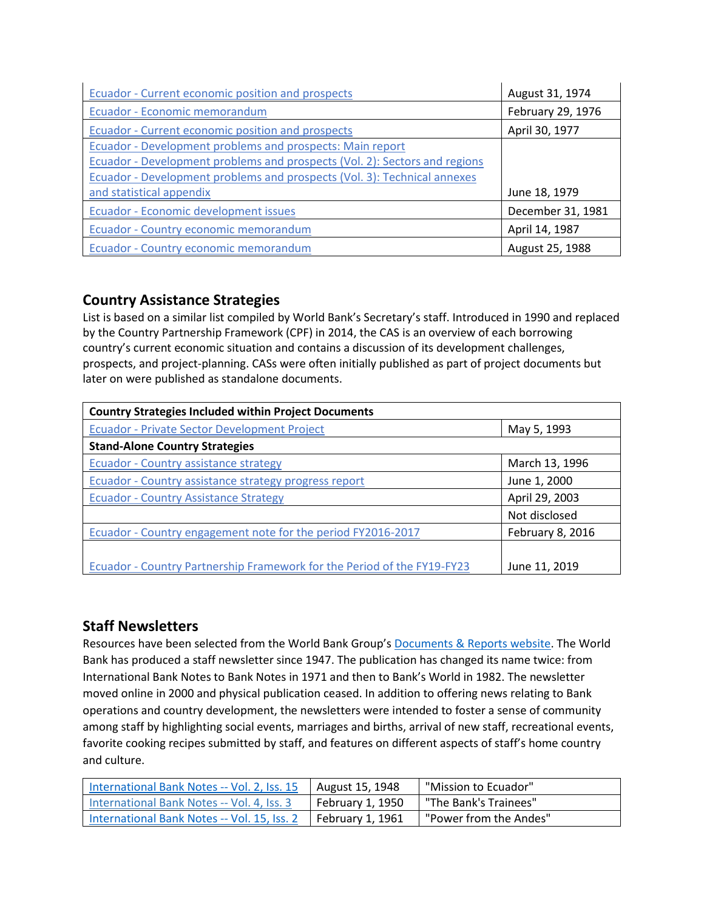| <b>Ecuador - Current economic position and prospects</b>                   | August 31, 1974   |
|----------------------------------------------------------------------------|-------------------|
| Ecuador - Economic memorandum                                              | February 29, 1976 |
| Ecuador - Current economic position and prospects                          | April 30, 1977    |
| Ecuador - Development problems and prospects: Main report                  |                   |
| Ecuador - Development problems and prospects (Vol. 2): Sectors and regions |                   |
| Ecuador - Development problems and prospects (Vol. 3): Technical annexes   |                   |
| and statistical appendix                                                   | June 18, 1979     |
| Ecuador - Economic development issues                                      | December 31, 1981 |
| Ecuador - Country economic memorandum                                      | April 14, 1987    |
| Ecuador - Country economic memorandum                                      | August 25, 1988   |

# **Country Assistance Strategies**

List is based on a similar list compiled by World Bank's Secretary's staff. Introduced in 1990 and replaced by the Country Partnership Framework (CPF) in 2014, the CAS is an overview of each borrowing country's current economic situation and contains a discussion of its development challenges, prospects, and project-planning. CASs were often initially published as part of project documents but later on were published as standalone documents.

| <b>Country Strategies Included within Project Documents</b>             |                  |
|-------------------------------------------------------------------------|------------------|
| <b>Ecuador - Private Sector Development Project</b>                     | May 5, 1993      |
| <b>Stand-Alone Country Strategies</b>                                   |                  |
| Ecuador - Country assistance strategy                                   | March 13, 1996   |
| Ecuador - Country assistance strategy progress report                   | June 1, 2000     |
| <b>Ecuador - Country Assistance Strategy</b>                            | April 29, 2003   |
|                                                                         | Not disclosed    |
| Ecuador - Country engagement note for the period FY2016-2017            | February 8, 2016 |
|                                                                         |                  |
| Ecuador - Country Partnership Framework for the Period of the FY19-FY23 | June 11, 2019    |

## **Staff Newsletters**

Resources have been selected from the World Bank Group's [Documents & Reports website.](https://documents.worldbank.org/) The World Bank has produced a staff newsletter since 1947. The publication has changed its name twice: from International Bank Notes to Bank Notes in 1971 and then to Bank's World in 1982. The newsletter moved online in 2000 and physical publication ceased. In addition to offering news relating to Bank operations and country development, the newsletters were intended to foster a sense of community among staff by highlighting social events, marriages and births, arrival of new staff, recreational events, favorite cooking recipes submitted by staff, and features on different aspects of staff's home country and culture.

| International Bank Notes -- Vol. 2, Iss. 15 | August 15, 1948  | "Mission to Ecuador"   |
|---------------------------------------------|------------------|------------------------|
| International Bank Notes -- Vol. 4, Iss. 3  | February 1, 1950 | "The Bank's Trainees"  |
| International Bank Notes -- Vol. 15, Iss. 2 | February 1, 1961 | "Power from the Andes" |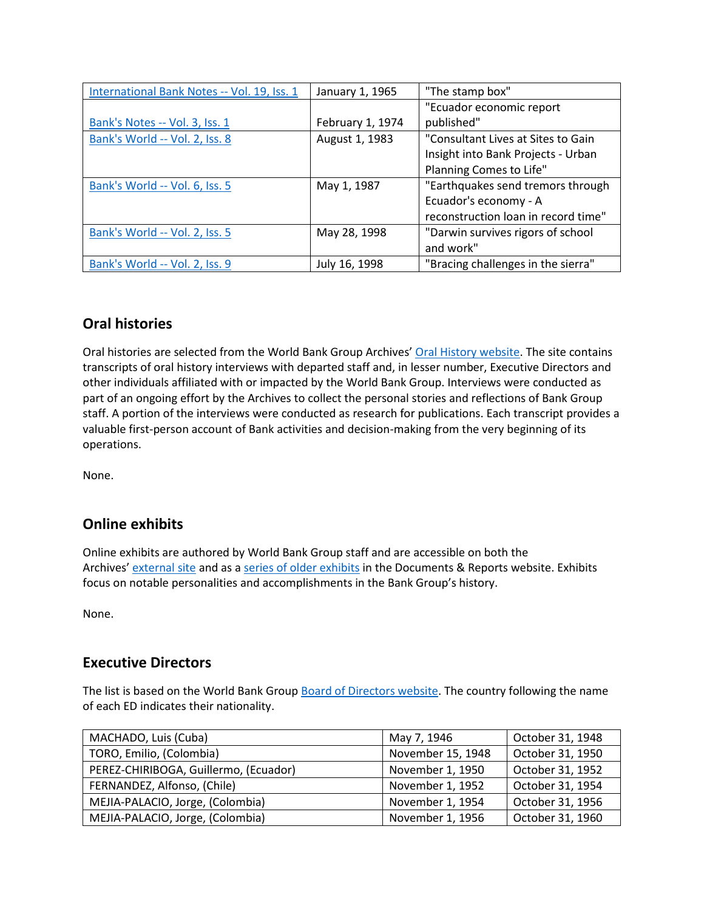| International Bank Notes -- Vol. 19, Iss. 1 | January 1, 1965  | "The stamp box"                     |
|---------------------------------------------|------------------|-------------------------------------|
|                                             |                  | "Ecuador economic report            |
| Bank's Notes -- Vol. 3, Iss. 1              | February 1, 1974 | published"                          |
| Bank's World -- Vol. 2, Iss. 8              | August 1, 1983   | "Consultant Lives at Sites to Gain  |
|                                             |                  | Insight into Bank Projects - Urban  |
|                                             |                  | Planning Comes to Life"             |
| Bank's World -- Vol. 6, Iss. 5              | May 1, 1987      | "Earthquakes send tremors through   |
|                                             |                  | Ecuador's economy - A               |
|                                             |                  | reconstruction loan in record time" |
| Bank's World -- Vol. 2, Iss. 5              | May 28, 1998     | "Darwin survives rigors of school   |
|                                             |                  | and work"                           |
| Bank's World -- Vol. 2, Iss. 9              | July 16, 1998    | "Bracing challenges in the sierra"  |

# **Oral histories**

Oral histories are selected from the World Bank Group Archives' [Oral History website.](https://oralhistory.worldbank.org/) The site contains transcripts of oral history interviews with departed staff and, in lesser number, Executive Directors and other individuals affiliated with or impacted by the World Bank Group. Interviews were conducted as part of an ongoing effort by the Archives to collect the personal stories and reflections of Bank Group staff. A portion of the interviews were conducted as research for publications. Each transcript provides a valuable first-person account of Bank activities and decision-making from the very beginning of its operations.

None.

# **Online exhibits**

Online exhibits are authored by World Bank Group staff and are accessible on both the Archives' [external site](https://www.worldbank.org/en/about/archives/history/exhibits) and as a [series of older exhibits](https://documents.worldbank.org/en/publication/documents-reports/documentlist?colti=World%20Bank%20Group%20Archives%20exhibit%20series) in the Documents & Reports website. Exhibits focus on notable personalities and accomplishments in the Bank Group's history.

None.

## **Executive Directors**

The list is based on the World Bank Group [Board of Directors website.](https://worldbankgroup.sharepoint.com/sites/wbsites/ExecutiveBoard/Pages/pc/About-the-Boards-05222019-155532/List-of-Executi-05222019-155839.aspx) The country following the name of each ED indicates their nationality.

| MACHADO, Luis (Cuba)                  | May 7, 1946       | October 31, 1948 |
|---------------------------------------|-------------------|------------------|
| TORO, Emilio, (Colombia)              | November 15, 1948 | October 31, 1950 |
| PEREZ-CHIRIBOGA, Guillermo, (Ecuador) | November 1, 1950  | October 31, 1952 |
| FERNANDEZ, Alfonso, (Chile)           | November 1, 1952  | October 31, 1954 |
| MEJIA-PALACIO, Jorge, (Colombia)      | November 1, 1954  | October 31, 1956 |
| MEJIA-PALACIO, Jorge, (Colombia)      | November 1, 1956  | October 31, 1960 |